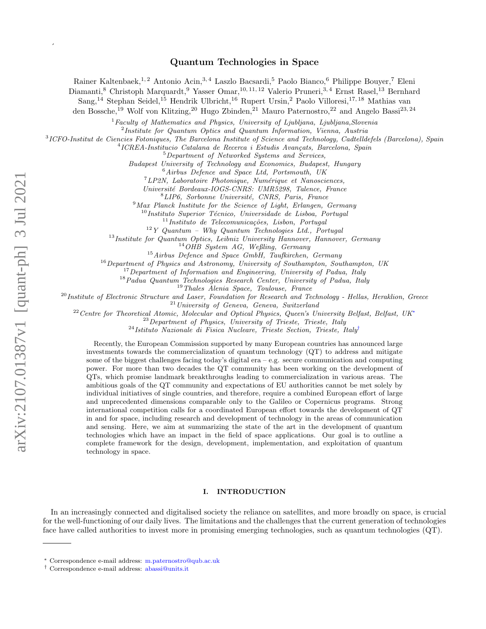$\overline{\phantom{a}}$ 

# Quantum Technologies in Space

Rainer Kaltenbaek,<sup>1, 2</sup> Antonio Acin,<sup>3, 4</sup> Laszlo Bacsardi,<sup>5</sup> Paolo Bianco,<sup>6</sup> Philippe Bouyer,<sup>7</sup> Eleni

Diamanti,<sup>8</sup> Christoph Marquardt,<sup>9</sup> Yasser Omar,<sup>10, 11, 12</sup> Valerio Pruneri,<sup>3, 4</sup> Ernst Rasel,<sup>13</sup> Bernhard

Sang,<sup>14</sup> Stephan Seidel,<sup>15</sup> Hendrik Ulbricht,<sup>16</sup> Rupert Ursin,<sup>2</sup> Paolo Villoresi,<sup>17,18</sup> Mathias van

den Bossche,<sup>19</sup> Wolf von Klitzing,<sup>20</sup> Hugo Zbinden,<sup>21</sup> Mauro Paternostro,<sup>22</sup> and Angelo Bassi<sup>23,24</sup>

 ${}^{1}$  Faculty of Mathematics and Physics, University of Ljubljana, Ljubljana, Slovenia

<sup>2</sup>Institute for Quantum Optics and Quantum Information, Vienna, Austria

3 ICFO-Institut de Ciencies Fotoniques, The Barcelona Institute of Science and Technology, Cadtelldefels (Barcelona), Spain

<sup>4</sup>ICREA-Institucio Catalana de Recerca i Estudis Avançats, Barcelona, Spain

<sup>5</sup>Department of Networked Systems and Services,

Budapest University of Technology and Economics, Budapest, Hungary

<sup>6</sup>Airbus Defence and Space Ltd, Portsmouth, UK

 $7$ LP2N, Laboratoire Photonique, Numérique et Nanosciences,

Universit´e Bordeaux-IOGS-CNRS: UMR5298, Talence, France

 ${}^{8}$ LIP6, Sorbonne Université, CNRS, Paris, France

 $9$ Max Planck Institute for the Science of Light, Erlangen, Germany

 $10$ Instituto Superior Técnico, Universidade de Lisboa, Portugal

 $11$ Instituto de Telecomunicações, Lisbon, Portugal

 $12$  Y Quantum – Why Quantum Technologies Ltd., Portugal

<sup>13</sup> Institute for Quantum Optics, Leibniz University Hannover, Hannover, Germany

 $14$ OHB System AG, Weßling, Germany

<sup>15</sup>Airbus Defence and Space GmbH, Taufkirchen, Germany

 $16$ Department of Physics and Astronomy, University of Southampton, Southampton, UK

 $17$ Department of Information and Engineering, University of Padua, Italy

<sup>18</sup> Padua Quantum Technologies Research Center, University of Padua, Italy

<sup>19</sup>Thales Alenia Space, Toulouse, France

 $^{20}$ Institute of Electronic Structure and Laser, Foundation for Research and Technology - Hellas, Heraklion, Greece

<sup>21</sup>University of Geneva, Geneva, Switzerland

<sup>22</sup> Centre for Theoretical Atomic, Molecular and Optical Physics, Queen's University Belfast, Belfast, UK<sup>\*</sup>

 $^{23}$ Department of Physics, University of Trieste, Trieste, Italy

 $^{24}$ Istituto Nazionale di Fisica Nucleare, Trieste Section, Trieste, Italy<sup>[†](#page-0-1)</sup>

Recently, the European Commission supported by many European countries has announced large investments towards the commercialization of quantum technology (QT) to address and mitigate some of the biggest challenges facing today's digital era – e.g. secure communication and computing power. For more than two decades the QT community has been working on the development of QTs, which promise landmark breakthroughs leading to commercialization in various areas. The ambitious goals of the QT community and expectations of EU authorities cannot be met solely by individual initiatives of single countries, and therefore, require a combined European effort of large and unprecedented dimensions comparable only to the Galileo or Copernicus programs. Strong international competition calls for a coordinated European effort towards the development of QT in and for space, including research and development of technology in the areas of communication and sensing. Here, we aim at summarizing the state of the art in the development of quantum technologies which have an impact in the field of space applications. Our goal is to outline a complete framework for the design, development, implementation, and exploitation of quantum technology in space.

# I. INTRODUCTION

In an increasingly connected and digitalised society the reliance on satellites, and more broadly on space, is crucial for the well-functioning of our daily lives. The limitations and the challenges that the current generation of technologies face have called authorities to invest more in promising emerging technologies, such as quantum technologies (QT).

<span id="page-0-0"></span><sup>∗</sup> Correspondence e-mail address: [m.paternostro@qub.ac.uk](mailto:m.paternostro@qub.ac.uk)

<span id="page-0-1"></span><sup>†</sup> Correspondence e-mail address: [abassi@units.it](mailto:abassi@units.it)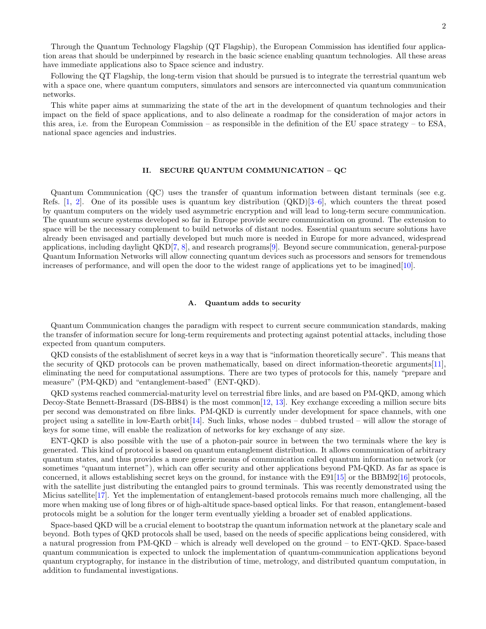Through the Quantum Technology Flagship (QT Flagship), the European Commission has identified four application areas that should be underpinned by research in the basic science enabling quantum technologies. All these areas have immediate applications also to Space science and industry.

Following the QT Flagship, the long-term vision that should be pursued is to integrate the terrestrial quantum web with a space one, where quantum computers, simulators and sensors are interconnected via quantum communication networks.

This white paper aims at summarizing the state of the art in the development of quantum technologies and their impact on the field of space applications, and to also delineate a roadmap for the consideration of major actors in this area, i.e. from the European Commission – as responsible in the definition of the EU space strategy – to ESA, national space agencies and industries.

# II. SECURE QUANTUM COMMUNICATION – QC

Quantum Communication (QC) uses the transfer of quantum information between distant terminals (see e.g. Refs.  $[1, 2]$  $[1, 2]$  $[1, 2]$ . One of its possible uses is quantum key distribution  $(QKD)[3–6]$  $(QKD)[3–6]$  $(QKD)[3–6]$ , which counters the threat posed by quantum computers on the widely used asymmetric encryption and will lead to long-term secure communication. The quantum secure systems developed so far in Europe provide secure communication on ground. The extension to space will be the necessary complement to build networks of distant nodes. Essential quantum secure solutions have already been envisaged and partially developed but much more is needed in Europe for more advanced, widespread applications, including daylight QKD[\[7,](#page-11-1) [8\]](#page-11-2), and research programs[\[9\]](#page-11-3). Beyond secure communication, general-purpose Quantum Information Networks will allow connecting quantum devices such as processors and sensors for tremendous increases of performance, and will open the door to the widest range of applications yet to be imagined[\[10\]](#page-11-4).

### A. Quantum adds to security

Quantum Communication changes the paradigm with respect to current secure communication standards, making the transfer of information secure for long-term requirements and protecting against potential attacks, including those expected from quantum computers.

QKD consists of the establishment of secret keys in a way that is "information theoretically secure". This means that the security of QKD protocols can be proven mathematically, based on direct information-theoretic arguments[\[11\]](#page-11-5), eliminating the need for computational assumptions. There are two types of protocols for this, namely "prepare and measure" (PM-QKD) and "entanglement-based" (ENT-QKD).

QKD systems reached commercial-maturity level on terrestrial fibre links, and are based on PM-QKD, among which Decoy-State Bennett-Brassard (DS-BB84) is the most common[\[12,](#page-11-6) [13\]](#page-11-7). Key exchange exceeding a million secure bits per second was demonstrated on fibre links. PM-QKD is currently under development for space channels, with one project using a satellite in low-Earth orbit[\[14\]](#page-11-8). Such links, whose nodes – dubbed trusted – will allow the storage of keys for some time, will enable the realization of networks for key exchange of any size.

ENT-QKD is also possible with the use of a photon-pair source in between the two terminals where the key is generated. This kind of protocol is based on quantum entanglement distribution. It allows communication of arbitrary quantum states, and thus provides a more generic means of communication called quantum information network (or sometimes "quantum internet"), which can offer security and other applications beyond PM-QKD. As far as space is concerned, it allows establishing secret keys on the ground, for instance with the E91[\[15\]](#page-11-9) or the BBM92[\[16\]](#page-11-10) protocols, with the satellite just distributing the entangled pairs to ground terminals. This was recently demonstrated using the Micius satellite[\[17\]](#page-11-11). Yet the implementation of entanglement-based protocols remains much more challenging, all the more when making use of long fibres or of high-altitude space-based optical links. For that reason, entanglement-based protocols might be a solution for the longer term eventually yielding a broader set of enabled applications.

Space-based QKD will be a crucial element to bootstrap the quantum information network at the planetary scale and beyond. Both types of QKD protocols shall be used, based on the needs of specific applications being considered, with a natural progression from PM-QKD – which is already well developed on the ground – to ENT-QKD. Space-based quantum communication is expected to unlock the implementation of quantum-communication applications beyond quantum cryptography, for instance in the distribution of time, metrology, and distributed quantum computation, in addition to fundamental investigations.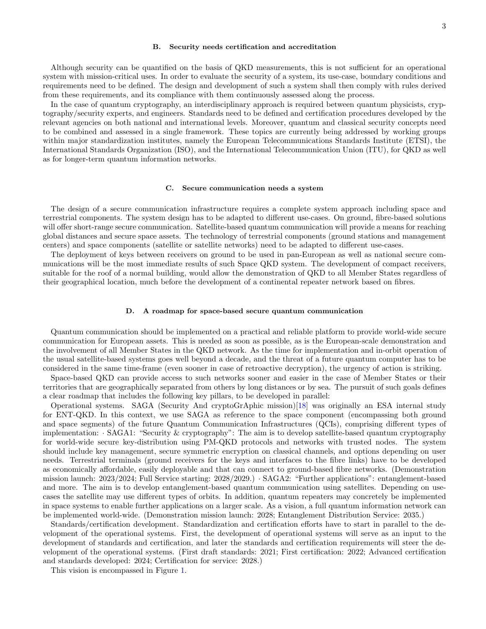### B. Security needs certification and accreditation

Although security can be quantified on the basis of QKD measurements, this is not sufficient for an operational system with mission-critical uses. In order to evaluate the security of a system, its use-case, boundary conditions and requirements need to be defined. The design and development of such a system shall then comply with rules derived from these requirements, and its compliance with them continuously assessed along the process.

In the case of quantum cryptography, an interdisciplinary approach is required between quantum physicists, cryptography/security experts, and engineers. Standards need to be defined and certification procedures developed by the relevant agencies on both national and international levels. Moreover, quantum and classical security concepts need to be combined and assessed in a single framework. These topics are currently being addressed by working groups within major standardization institutes, namely the European Telecommunications Standards Institute (ETSI), the International Standards Organization (ISO), and the International Telecommunication Union (ITU), for QKD as well as for longer-term quantum information networks.

#### C. Secure communication needs a system

The design of a secure communication infrastructure requires a complete system approach including space and terrestrial components. The system design has to be adapted to different use-cases. On ground, fibre-based solutions will offer short-range secure communication. Satellite-based quantum communication will provide a means for reaching global distances and secure space assets. The technology of terrestrial components (ground stations and management centers) and space components (satellite or satellite networks) need to be adapted to different use-cases.

The deployment of keys between receivers on ground to be used in pan-European as well as national secure communications will be the most immediate results of such Space QKD system. The development of compact receivers, suitable for the roof of a normal building, would allow the demonstration of QKD to all Member States regardless of their geographical location, much before the development of a continental repeater network based on fibres.

#### D. A roadmap for space-based secure quantum communication

Quantum communication should be implemented on a practical and reliable platform to provide world-wide secure communication for European assets. This is needed as soon as possible, as is the European-scale demonstration and the involvement of all Member States in the QKD network. As the time for implementation and in-orbit operation of the usual satellite-based systems goes well beyond a decade, and the threat of a future quantum computer has to be considered in the same time-frame (even sooner in case of retroactive decryption), the urgency of action is striking.

Space-based QKD can provide access to such networks sooner and easier in the case of Member States or their territories that are geographically separated from others by long distances or by sea. The pursuit of such goals defines a clear roadmap that includes the following key pillars, to be developed in parallel:

Operational systems. SAGA (Security And cryptoGrAphic mission)[\[18\]](#page-11-12) was originally an ESA internal study for ENT-QKD. In this context, we use SAGA as reference to the space component (encompassing both ground and space segments) of the future Quantum Communication Infrastructures (QCIs), comprising different types of implementation: · SAGA1: "Security & cryptography": The aim is to develop satellite-based quantum cryptography for world-wide secure key-distribution using PM-QKD protocols and networks with trusted nodes. The system should include key management, secure symmetric encryption on classical channels, and options depending on user needs. Terrestrial terminals (ground receivers for the keys and interfaces to the fibre links) have to be developed as economically affordable, easily deployable and that can connect to ground-based fibre networks. (Demonstration mission launch: 2023/2024; Full Service starting: 2028/2029.) · SAGA2: "Further applications": entanglement-based and more. The aim is to develop entanglement-based quantum communication using satellites. Depending on usecases the satellite may use different types of orbits. In addition, quantum repeaters may concretely be implemented in space systems to enable further applications on a larger scale. As a vision, a full quantum information network can be implemented world-wide. (Demonstration mission launch: 2028; Entanglement Distribution Service: 2035.)

Standards/certification development. Standardization and certification efforts have to start in parallel to the development of the operational systems. First, the development of operational systems will serve as an input to the development of standards and certification, and later the standards and certification requirements will steer the development of the operational systems. (First draft standards: 2021; First certification: 2022; Advanced certification and standards developed: 2024; Certification for service: 2028.)

This vision is encompassed in Figure [1.](#page-3-0)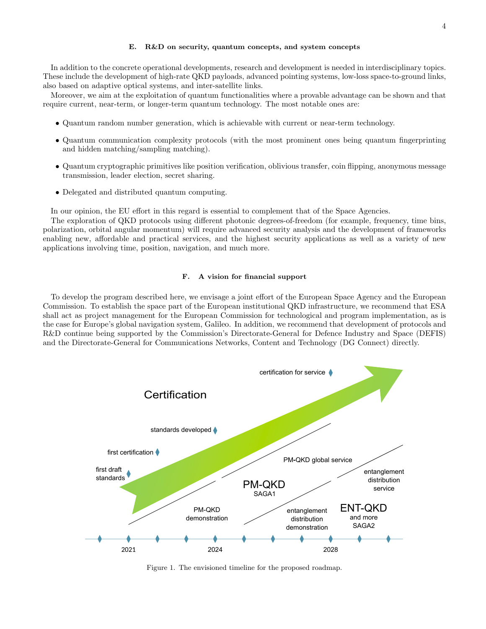In addition to the concrete operational developments, research and development is needed in interdisciplinary topics. These include the development of high-rate QKD payloads, advanced pointing systems, low-loss space-to-ground links, also based on adaptive optical systems, and inter-satellite links.

Moreover, we aim at the exploitation of quantum functionalities where a provable advantage can be shown and that require current, near-term, or longer-term quantum technology. The most notable ones are:

- Quantum random number generation, which is achievable with current or near-term technology.
- Quantum communication complexity protocols (with the most prominent ones being quantum fingerprinting and hidden matching/sampling matching).
- Quantum cryptographic primitives like position verification, oblivious transfer, coin flipping, anonymous message transmission, leader election, secret sharing.
- Delegated and distributed quantum computing.

In our opinion, the EU effort in this regard is essential to complement that of the Space Agencies.

The exploration of QKD protocols using different photonic degrees-of-freedom (for example, frequency, time bins, polarization, orbital angular momentum) will require advanced security analysis and the development of frameworks enabling new, affordable and practical services, and the highest security applications as well as a variety of new applications involving time, position, navigation, and much more.

### F. A vision for financial support

To develop the program described here, we envisage a joint effort of the European Space Agency and the European Commission. To establish the space part of the European institutional QKD infrastructure, we recommend that ESA shall act as project management for the European Commission for technological and program implementation, as is the case for Europe's global navigation system, Galileo. In addition, we recommend that development of protocols and R&D continue being supported by the Commission's Directorate-General for Defence Industry and Space (DEFIS) and the Directorate-General for Communications Networks, Content and Technology (DG Connect) directly.



<span id="page-3-0"></span>Figure 1. The envisioned timeline for the proposed roadmap.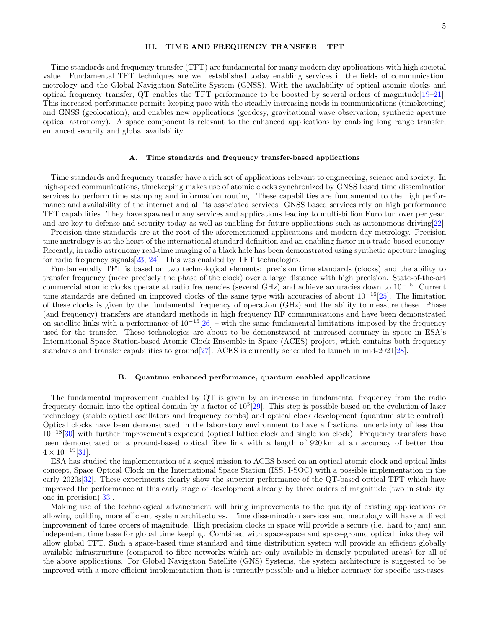# III. TIME AND FREQUENCY TRANSFER – TFT

Time standards and frequency transfer (TFT) are fundamental for many modern day applications with high societal value. Fundamental TFT techniques are well established today enabling services in the fields of communication, metrology and the Global Navigation Satellite System (GNSS). With the availability of optical atomic clocks and optical frequency transfer, QT enables the TFT performance to be boosted by several orders of magnitude[\[19–](#page-11-13)[21\]](#page-11-14). This increased performance permits keeping pace with the steadily increasing needs in communications (timekeeping) and GNSS (geolocation), and enables new applications (geodesy, gravitational wave observation, synthetic aperture optical astronomy). A space component is relevant to the enhanced applications by enabling long range transfer, enhanced security and global availability.

#### A. Time standards and frequency transfer-based applications

Time standards and frequency transfer have a rich set of applications relevant to engineering, science and society. In high-speed communications, timekeeping makes use of atomic clocks synchronized by GNSS based time dissemination services to perform time stamping and information routing. These capabilities are fundamental to the high performance and availability of the internet and all its associated services. GNSS based services rely on high performance TFT capabilities. They have spawned many services and applications leading to multi-billion Euro turnover per year, and are key to defense and security today as well as enabling for future applications such as autonomous driving[\[22\]](#page-11-15).

Precision time standards are at the root of the aforementioned applications and modern day metrology. Precision time metrology is at the heart of the international standard definition and an enabling factor in a trade-based economy. Recently, in radio astronomy real-time imaging of a black hole has been demonstrated using synthetic aperture imaging for radio frequency signals[\[23,](#page-11-16) [24\]](#page-11-17). This was enabled by TFT technologies.

Fundamentally TFT is based on two technological elements: precision time standards (clocks) and the ability to transfer frequency (more precisely the phase of the clock) over a large distance with high precision. State-of-the-art commercial atomic clocks operate at radio frequencies (several GHz) and achieve accuracies down to 10<sup>−</sup>15. Current time standards are defined on improved clocks of the same type with accuracies of about  $10^{-16}$ [\[25\]](#page-11-18). The limitation of these clocks is given by the fundamental frequency of operation (GHz) and the ability to measure these. Phase (and frequency) transfers are standard methods in high frequency RF communications and have been demonstrated on satellite links with a performance of  $10^{-15}$ [\[26\]](#page-11-19) – with the same fundamental limitations imposed by the frequency used for the transfer. These technologies are about to be demonstrated at increased accuracy in space in ESA's International Space Station-based Atomic Clock Ensemble in Space (ACES) project, which contains both frequency standards and transfer capabilities to ground[\[27\]](#page-11-20). ACES is currently scheduled to launch in mid-2021[\[28\]](#page-11-21).

#### B. Quantum enhanced performance, quantum enabled applications

The fundamental improvement enabled by QT is given by an increase in fundamental frequency from the radio frequency domain into the optical domain by a factor of  $10^5$  [\[29\]](#page-11-22). This step is possible based on the evolution of laser technology (stable optical oscillators and frequency combs) and optical clock development (quantum state control). Optical clocks have been demonstrated in the laboratory environment to have a fractional uncertainty of less than  $10^{-18}[30]$  $10^{-18}[30]$  with further improvements expected (optical lattice clock and single ion clock). Frequency transfers have been demonstrated on a ground-based optical fibre link with a length of 920 km at an accuracy of better than  $4 \times 10^{-19}$ [\[31\]](#page-11-24).

ESA has studied the implementation of a sequel mission to ACES based on an optical atomic clock and optical links concept, Space Optical Clock on the International Space Station (ISS, I-SOC) with a possible implementation in the early 2020s[\[32\]](#page-11-25). These experiments clearly show the superior performance of the QT-based optical TFT which have improved the performance at this early stage of development already by three orders of magnitude (two in stability, one in precision)[\[33\]](#page-11-26).

Making use of the technological advancement will bring improvements to the quality of existing applications or allowing building more efficient system architectures. Time dissemination services and metrology will have a direct improvement of three orders of magnitude. High precision clocks in space will provide a secure (i.e. hard to jam) and independent time base for global time keeping. Combined with space-space and space-ground optical links they will allow global TFT. Such a space-based time standard and time distribution system will provide an efficient globally available infrastructure (compared to fibre networks which are only available in densely populated areas) for all of the above applications. For Global Navigation Satellite (GNS) Systems, the system architecture is suggested to be improved with a more efficient implementation than is currently possible and a higher accuracy for specific use-cases.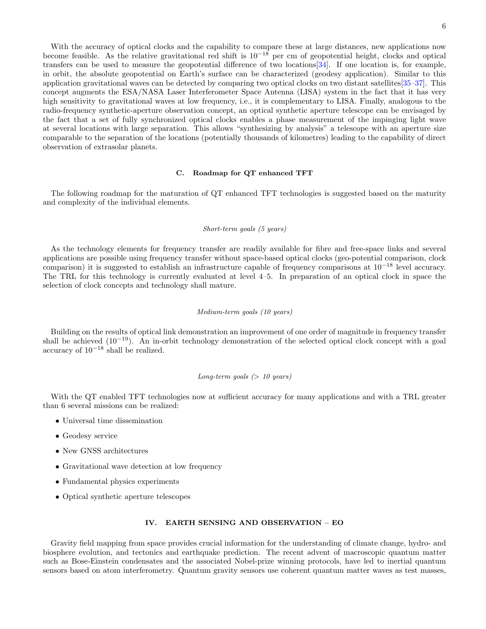With the accuracy of optical clocks and the capability to compare these at large distances, new applications now become feasible. As the relative gravitational red shift is  $10^{-18}$  per cm of geopotential height, clocks and optical transfers can be used to measure the geopotential difference of two locations[\[34\]](#page-11-27). If one location is, for example, in orbit, the absolute geopotential on Earth's surface can be characterized (geodesy application). Similar to this application gravitational waves can be detected by comparing two optical clocks on two distant satellites[\[35–](#page-11-28)[37\]](#page-11-29). This concept augments the ESA/NASA Laser Interferometer Space Antenna (LISA) system in the fact that it has very high sensitivity to gravitational waves at low frequency, i.e., it is complementary to LISA. Finally, analogous to the radio-frequency synthetic-aperture observation concept, an optical synthetic aperture telescope can be envisaged by the fact that a set of fully synchronized optical clocks enables a phase measurement of the impinging light wave at several locations with large separation. This allows "synthesizing by analysis" a telescope with an aperture size comparable to the separation of the locations (potentially thousands of kilometres) leading to the capability of direct observation of extrasolar planets.

### C. Roadmap for QT enhanced TFT

The following roadmap for the maturation of QT enhanced TFT technologies is suggested based on the maturity and complexity of the individual elements.

### Short-term goals (5 years)

As the technology elements for frequency transfer are readily available for fibre and free-space links and several applications are possible using frequency transfer without space-based optical clocks (geo-potential comparison, clock comparison) it is suggested to establish an infrastructure capable of frequency comparisons at 10<sup>−</sup><sup>18</sup> level accuracy. The TRL for this technology is currently evaluated at level 4–5. In preparation of an optical clock in space the selection of clock concepts and technology shall mature.

### Medium-term goals (10 years)

Building on the results of optical link demonstration an improvement of one order of magnitude in frequency transfer shall be achieved (10<sup>−</sup>19). An in-orbit technology demonstration of the selected optical clock concept with a goal accuracy of  $10^{-18}$  shall be realized.

# Long-term goals  $(> 10 \text{ years})$

With the QT enabled TFT technologies now at sufficient accuracy for many applications and with a TRL greater than 6 several missions can be realized:

- Universal time dissemination
- Geodesy service
- New GNSS architectures
- Gravitational wave detection at low frequency
- Fundamental physics experiments
- Optical synthetic aperture telescopes

## IV. EARTH SENSING AND OBSERVATION – EO

Gravity field mapping from space provides crucial information for the understanding of climate change, hydro- and biosphere evolution, and tectonics and earthquake prediction. The recent advent of macroscopic quantum matter such as Bose-Einstein condensates and the associated Nobel-prize winning protocols, have led to inertial quantum sensors based on atom interferometry. Quantum gravity sensors use coherent quantum matter waves as test masses,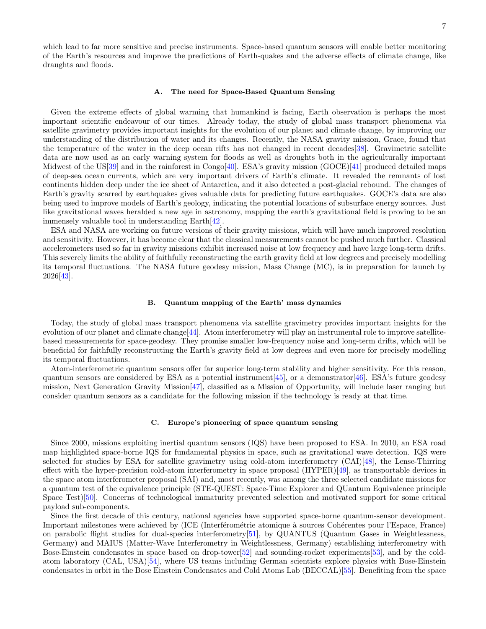which lead to far more sensitive and precise instruments. Space-based quantum sensors will enable better monitoring of the Earth's resources and improve the predictions of Earth-quakes and the adverse effects of climate change, like draughts and floods.

#### A. The need for Space-Based Quantum Sensing

Given the extreme effects of global warming that humankind is facing, Earth observation is perhaps the most important scientific endeavour of our times. Already today, the study of global mass transport phenomena via satellite gravimetry provides important insights for the evolution of our planet and climate change, by improving our understanding of the distribution of water and its changes. Recently, the NASA gravity mission, Grace, found that the temperature of the water in the deep ocean rifts has not changed in recent decades[\[38\]](#page-11-30). Gravimetric satellite data are now used as an early warning system for floods as well as droughts both in the agriculturally important Midwest of the US[\[39\]](#page-11-31) and in the rainforest in Congo[\[40\]](#page-11-32). ESA's gravity mission (GOCE)[\[41\]](#page-11-33) produced detailed maps of deep-sea ocean currents, which are very important drivers of Earth's climate. It revealed the remnants of lost continents hidden deep under the ice sheet of Antarctica, and it also detected a post-glacial rebound. The changes of Earth's gravity scarred by earthquakes gives valuable data for predicting future earthquakes. GOCE's data are also being used to improve models of Earth's geology, indicating the potential locations of subsurface energy sources. Just like gravitational waves heralded a new age in astronomy, mapping the earth's gravitational field is proving to be an immensely valuable tool in understanding Earth[\[42\]](#page-12-0).

ESA and NASA are working on future versions of their gravity missions, which will have much improved resolution and sensitivity. However, it has become clear that the classical measurements cannot be pushed much further. Classical accelerometers used so far in gravity missions exhibit increased noise at low frequency and have large long-term drifts. This severely limits the ability of faithfully reconstructing the earth gravity field at low degrees and precisely modelling its temporal fluctuations. The NASA future geodesy mission, Mass Change (MC), is in preparation for launch by 2026[\[43\]](#page-12-1).

# B. Quantum mapping of the Earth' mass dynamics

Today, the study of global mass transport phenomena via satellite gravimetry provides important insights for the evolution of our planet and climate change[\[44\]](#page-12-2). Atom interferometry will play an instrumental role to improve satellitebased measurements for space-geodesy. They promise smaller low-frequency noise and long-term drifts, which will be beneficial for faithfully reconstructing the Earth's gravity field at low degrees and even more for precisely modelling its temporal fluctuations.

Atom-interferometric quantum sensors offer far superior long-term stability and higher sensitivity. For this reason, quantum sensors are considered by ESA as a potential instrument  $[45]$ , or a demonstrator  $[46]$ . ESA's future geodesy mission, Next Generation Gravity Mission[\[47\]](#page-12-5), classified as a Mission of Opportunity, will include laser ranging but consider quantum sensors as a candidate for the following mission if the technology is ready at that time.

### C. Europe's pioneering of space quantum sensing

Since 2000, missions exploiting inertial quantum sensors (IQS) have been proposed to ESA. In 2010, an ESA road map highlighted space-borne IQS for fundamental physics in space, such as gravitational wave detection. IQS were selected for studies by ESA for satellite gravimetry using cold-atom interferometry (CAI)[\[48\]](#page-12-6), the Lense-Thirring effect with the hyper-precision cold-atom interferometry in space proposal (HYPER)[\[49\]](#page-12-7), as transportable devices in the space atom interferometer proposal (SAI) and, most recently, was among the three selected candidate missions for a quantum test of the equivalence principle (STE-QUEST: Space-Time Explorer and QUantum Equivalence principle Space Test)[\[50\]](#page-12-8). Concerns of technological immaturity prevented selection and motivated support for some critical payload sub-components.

Since the first decade of this century, national agencies have supported space-borne quantum-sensor development. Important milestones were achieved by (ICE (Interférométrie atomique à sources Cohérentes pour l'Espace, France) on parabolic flight studies for dual-species interferometry[\[51\]](#page-12-9), by QUANTUS (Quantum Gases in Weightlessness, Germany) and MAIUS (Matter-Wave Interferometry in Weightlessness, Germany) establishing interferometry with Bose-Einstein condensates in space based on drop-tower[\[52\]](#page-12-10) and sounding-rocket experiments[\[53\]](#page-12-11), and by the coldatom laboratory (CAL, USA)[\[54\]](#page-12-12), where US teams including German scientists explore physics with Bose-Einstein condensates in orbit in the Bose Einstein Condensates and Cold Atoms Lab (BECCAL)[\[55\]](#page-12-13). Benefiting from the space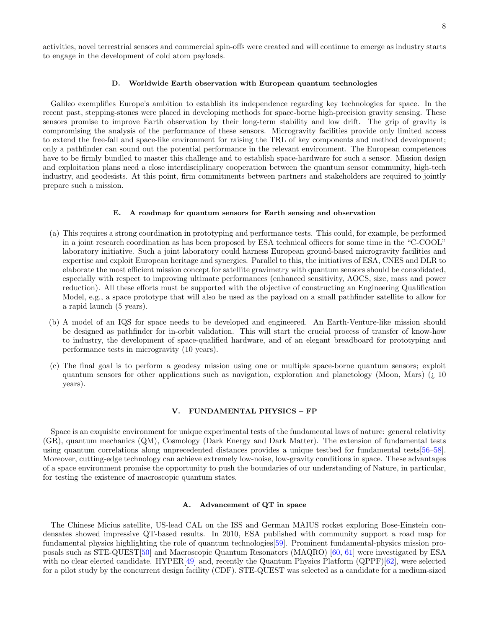activities, novel terrestrial sensors and commercial spin-offs were created and will continue to emerge as industry starts to engage in the development of cold atom payloads.

#### D. Worldwide Earth observation with European quantum technologies

Galileo exemplifies Europe's ambition to establish its independence regarding key technologies for space. In the recent past, stepping-stones were placed in developing methods for space-borne high-precision gravity sensing. These sensors promise to improve Earth observation by their long-term stability and low drift. The grip of gravity is compromising the analysis of the performance of these sensors. Microgravity facilities provide only limited access to extend the free-fall and space-like environment for raising the TRL of key components and method development; only a pathfinder can sound out the potential performance in the relevant environment. The European competences have to be firmly bundled to master this challenge and to establish space-hardware for such a sensor. Mission design and exploitation plans need a close interdisciplinary cooperation between the quantum sensor community, high-tech industry, and geodesists. At this point, firm commitments between partners and stakeholders are required to jointly prepare such a mission.

### E. A roadmap for quantum sensors for Earth sensing and observation

- (a) This requires a strong coordination in prototyping and performance tests. This could, for example, be performed in a joint research coordination as has been proposed by ESA technical officers for some time in the "C-COOL" laboratory initiative. Such a joint laboratory could harness European ground-based microgravity facilities and expertise and exploit European heritage and synergies. Parallel to this, the initiatives of ESA, CNES and DLR to elaborate the most efficient mission concept for satellite gravimetry with quantum sensors should be consolidated, especially with respect to improving ultimate performances (enhanced sensitivity, AOCS, size, mass and power reduction). All these efforts must be supported with the objective of constructing an Engineering Qualification Model, e.g., a space prototype that will also be used as the payload on a small pathfinder satellite to allow for a rapid launch (5 years).
- (b) A model of an IQS for space needs to be developed and engineered. An Earth-Venture-like mission should be designed as pathfinder for in-orbit validation. This will start the crucial process of transfer of know-how to industry, the development of space-qualified hardware, and of an elegant breadboard for prototyping and performance tests in microgravity (10 years).
- (c) The final goal is to perform a geodesy mission using one or multiple space-borne quantum sensors; exploit quantum sensors for other applications such as navigation, exploration and planetology (Moon, Mars) (¿ 10 years).

### V. FUNDAMENTAL PHYSICS – FP

Space is an exquisite environment for unique experimental tests of the fundamental laws of nature: general relativity (GR), quantum mechanics (QM), Cosmology (Dark Energy and Dark Matter). The extension of fundamental tests using quantum correlations along unprecedented distances provides a unique testbed for fundamental tests[\[56–](#page-12-14)[58\]](#page-12-15). Moreover, cutting-edge technology can achieve extremely low-noise, low-gravity conditions in space. These advantages of a space environment promise the opportunity to push the boundaries of our understanding of Nature, in particular, for testing the existence of macroscopic quantum states.

### A. Advancement of QT in space

The Chinese Micius satellite, US-lead CAL on the ISS and German MAIUS rocket exploring Bose-Einstein condensates showed impressive QT-based results. In 2010, ESA published with community support a road map for fundamental physics highlighting the role of quantum technologies[\[59\]](#page-12-16). Prominent fundamental-physics mission proposals such as STE-QUEST[\[50\]](#page-12-8) and Macroscopic Quantum Resonators (MAQRO) [\[60,](#page-12-17) [61\]](#page-12-18) were investigated by ESA with no clear elected candidate. HYPER[\[49\]](#page-12-7) and, recently the Quantum Physics Platform (QPPF)[\[62\]](#page-12-19), were selected for a pilot study by the concurrent design facility (CDF). STE-QUEST was selected as a candidate for a medium-sized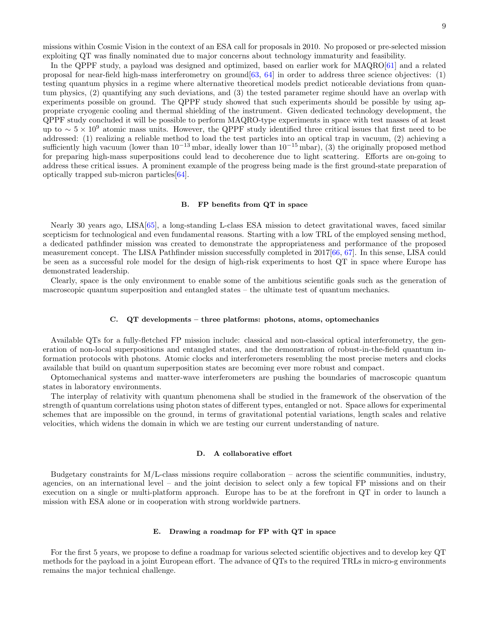missions within Cosmic Vision in the context of an ESA call for proposals in 2010. No proposed or pre-selected mission exploiting QT was finally nominated due to major concerns about technology immaturity and feasibility.

In the QPPF study, a payload was designed and optimized, based on earlier work for MAQRO[\[61\]](#page-12-18) and a related proposal for near-field high-mass interferometry on ground[\[63,](#page-12-20) [64\]](#page-12-21) in order to address three science objectives: (1) testing quantum physics in a regime where alternative theoretical models predict noticeable deviations from quantum physics, (2) quantifying any such deviations, and (3) the tested parameter regime should have an overlap with experiments possible on ground. The QPPF study showed that such experiments should be possible by using appropriate cryogenic cooling and thermal shielding of the instrument. Given dedicated technology development, the QPPF study concluded it will be possible to perform MAQRO-type experiments in space with test masses of at least up to  $\sim 5 \times 10^9$  atomic mass units. However, the QPPF study identified three critical issues that first need to be addressed: (1) realizing a reliable method to load the test particles into an optical trap in vacuum, (2) achieving a sufficiently high vacuum (lower than  $10^{-13}$  mbar, ideally lower than  $10^{-15}$  mbar), (3) the originally proposed method for preparing high-mass superpositions could lead to decoherence due to light scattering. Efforts are on-going to address these critical issues. A prominent example of the progress being made is the first ground-state preparation of optically trapped sub-micron particles[\[64\]](#page-12-21).

### B. FP benefits from QT in space

Nearly 30 years ago, LISA[\[65\]](#page-12-22), a long-standing L-class ESA mission to detect gravitational waves, faced similar scepticism for technological and even fundamental reasons. Starting with a low TRL of the employed sensing method, a dedicated pathfinder mission was created to demonstrate the appropriateness and performance of the proposed measurement concept. The LISA Pathfinder mission successfully completed in 2017[\[66,](#page-12-23) [67\]](#page-12-24). In this sense, LISA could be seen as a successful role model for the design of high-risk experiments to host QT in space where Europe has demonstrated leadership.

Clearly, space is the only environment to enable some of the ambitious scientific goals such as the generation of macroscopic quantum superposition and entangled states – the ultimate test of quantum mechanics.

#### C. QT developments – three platforms: photons, atoms, optomechanics

Available QTs for a fully-fletched FP mission include: classical and non-classical optical interferometry, the generation of non-local superpositions and entangled states, and the demonstration of robust-in-the-field quantum information protocols with photons. Atomic clocks and interferometers resembling the most precise meters and clocks available that build on quantum superposition states are becoming ever more robust and compact.

Optomechanical systems and matter-wave interferometers are pushing the boundaries of macroscopic quantum states in laboratory environments.

The interplay of relativity with quantum phenomena shall be studied in the framework of the observation of the strength of quantum correlations using photon states of different types, entangled or not. Space allows for experimental schemes that are impossible on the ground, in terms of gravitational potential variations, length scales and relative velocities, which widens the domain in which we are testing our current understanding of nature.

## D. A collaborative effort

Budgetary constraints for M/L-class missions require collaboration – across the scientific communities, industry, agencies, on an international level – and the joint decision to select only a few topical FP missions and on their execution on a single or multi-platform approach. Europe has to be at the forefront in QT in order to launch a mission with ESA alone or in cooperation with strong worldwide partners.

### E. Drawing a roadmap for FP with QT in space

For the first 5 years, we propose to define a roadmap for various selected scientific objectives and to develop key QT methods for the payload in a joint European effort. The advance of QTs to the required TRLs in micro-g environments remains the major technical challenge.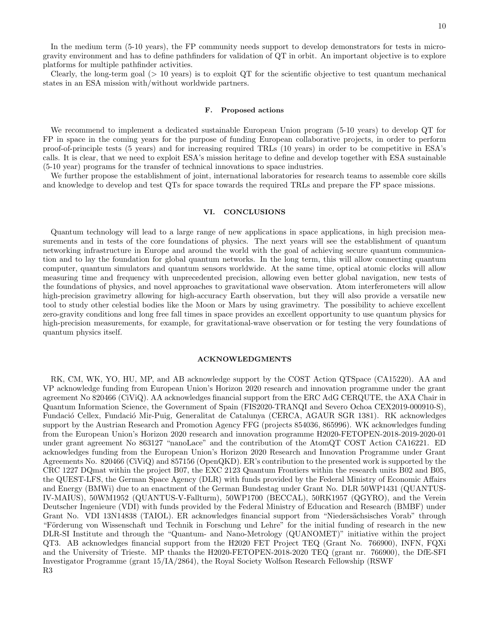In the medium term (5-10 years), the FP community needs support to develop demonstrators for tests in microgravity environment and has to define pathfinders for validation of QT in orbit. An important objective is to explore platforms for multiple pathfinder activities.

Clearly, the long-term goal  $(> 10 \text{ years})$  is to exploit QT for the scientific objective to test quantum mechanical states in an ESA mission with/without worldwide partners.

### F. Proposed actions

We recommend to implement a dedicated sustainable European Union program (5-10 years) to develop QT for FP in space in the coming years for the purpose of funding European collaborative projects, in order to perform proof-of-principle tests (5 years) and for increasing required TRLs (10 years) in order to be competitive in ESA's calls. It is clear, that we need to exploit ESA's mission heritage to define and develop together with ESA sustainable (5-10 year) programs for the transfer of technical innovations to space industries.

We further propose the establishment of joint, international laboratories for research teams to assemble core skills and knowledge to develop and test QTs for space towards the required TRLs and prepare the FP space missions.

# VI. CONCLUSIONS

Quantum technology will lead to a large range of new applications in space applications, in high precision measurements and in tests of the core foundations of physics. The next years will see the establishment of quantum networking infrastructure in Europe and around the world with the goal of achieving secure quantum communication and to lay the foundation for global quantum networks. In the long term, this will allow connecting quantum computer, quantum simulators and quantum sensors worldwide. At the same time, optical atomic clocks will allow measuring time and frequency with unprecedented precision, allowing even better global navigation, new tests of the foundations of physics, and novel approaches to gravitational wave observation. Atom interferometers will allow high-precision gravimetry allowing for high-accuracy Earth observation, but they will also provide a versatile new tool to study other celestial bodies like the Moon or Mars by using gravimetry. The possibility to achieve excellent zero-gravity conditions and long free fall times in space provides an excellent opportunity to use quantum physics for high-precision measurements, for example, for gravitational-wave observation or for testing the very foundations of quantum physics itself.

# ACKNOWLEDGMENTS

RK, CM, WK, YO, HU, MP, and AB acknowledge support by the COST Action QTSpace (CA15220). AA and VP acknowledge funding from European Union's Horizon 2020 research and innovation programme under the grant agreement No 820466 (CiViQ). AA acknowledges financial support from the ERC AdG CERQUTE, the AXA Chair in Quantum Information Science, the Government of Spain (FIS2020-TRANQI and Severo Ochoa CEX2019-000910-S), Fundació Cellex, Fundació Mir-Puig, Generalitat de Catalunya (CERCA, AGAUR SGR 1381). RK acknowledges support by the Austrian Research and Promotion Agency FFG (projects 854036, 865996). WK acknowledges funding from the European Union's Horizon 2020 research and innovation programme H2020-FETOPEN-2018-2019-2020-01 under grant agreement No 863127 "nanoLace" and the contribution of the AtomQT COST Action CA16221. ED acknowledges funding from the European Union's Horizon 2020 Research and Innovation Programme under Grant Agreements No. 820466 (CiViQ) and 857156 (OpenQKD). ER's contribution to the presented work is supported by the CRC 1227 DQmat within the project B07, the EXC 2123 Quantum Frontiers within the research units B02 and B05, the QUEST-LFS, the German Space Agency (DLR) with funds provided by the Federal Ministry of Economic Affairs and Energy (BMWi) due to an enactment of the German Bundestag under Grant No. DLR 50WP1431 (QUANTUS-IV-MAIUS), 50WM1952 (QUANTUS-V-Fallturm), 50WP1700 (BECCAL), 50RK1957 (QGYRO), and the Verein Deutscher Ingenieure (VDI) with funds provided by the Federal Ministry of Education and Research (BMBF) under Grant No. VDI 13N14838 (TAIOL). ER acknowledges financial support from "Niedersächsisches Vorab" through "Förderung von Wissenschaft und Technik in Forschung und Lehre" for the initial funding of research in the new DLR-SI Institute and through the "Quantum- and Nano-Metrology (QUANOMET)" initiative within the project QT3. AB acknowledges financial support from the H2020 FET Project TEQ (Grant No. 766900), INFN, FQXi and the University of Trieste. MP thanks the H2020-FETOPEN-2018-2020 TEQ (grant nr. 766900), the DfE-SFI Investigator Programme (grant 15/IA/2864), the Royal Society Wolfson Research Fellowship (RSWF R3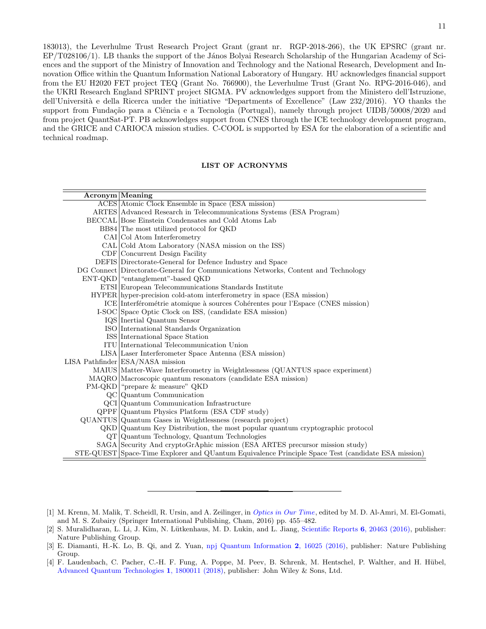183013), the Leverhulme Trust Research Project Grant (grant nr. RGP-2018-266), the UK EPSRC (grant nr. EP/T028106/1). LB thanks the support of the János Bolyai Research Scholarship of the Hungarian Academy of Sciences and the support of the Ministry of Innovation and Technology and the National Research, Development and Innovation Office within the Quantum Information National Laboratory of Hungary. HU acknowledges financial support from the EU H2020 FET project TEQ (Grant No. 766900), the Leverhulme Trust (Grant No. RPG-2016-046), and the UKRI Research England SPRINT project SIGMA. PV acknowledges support from the Ministero dell'Istruzione, dell'Università e della Ricerca under the initiative "Departments of Excellence" (Law 232/2016). YO thanks the support from Fundação para a Ciência e a Tecnologia (Portugal), namely through project UIDB/50008/2020 and from project QuantSat-PT. PB acknowledges support from CNES through the ICE technology development program, and the GRICE and CARIOCA mission studies. C-COOL is supported by ESA for the elaboration of a scientific and technical roadmap.

# LIST OF ACRONYMS

| $\rm{Acronym}$ Meaning |                                                                                                    |
|------------------------|----------------------------------------------------------------------------------------------------|
|                        | ACES Atomic Clock Ensemble in Space (ESA mission)                                                  |
|                        | ARTES Advanced Research in Telecommunications Systems (ESA Program)                                |
|                        | BECCAL Bose Einstein Condensates and Cold Atoms Lab                                                |
|                        | BB84 The most utilized protocol for QKD                                                            |
|                        | CAI Col Atom Interferometry                                                                        |
|                        | CAL Cold Atom Laboratory (NASA mission on the ISS)                                                 |
|                        | CDF Concurrent Design Facility                                                                     |
|                        | DEFIS Directorate-General for Defence Industry and Space                                           |
|                        | DG Connect Directorate-General for Communications Networks, Content and Technology                 |
|                        | ENT-QKD   "entanglement"-based QKD                                                                 |
|                        | ETSI European Telecommunications Standards Institute                                               |
|                        | HYPER hyper-precision cold-atom interferometry in space (ESA mission)                              |
|                        | ICE Interférométrie atomique à sources Cohérentes pour l'Espace (CNES mission)                     |
|                        | I-SOC Space Optic Clock on ISS, (candidate ESA mission)                                            |
|                        | IQS Inertial Quantum Sensor                                                                        |
|                        | ISO International Standards Organization                                                           |
|                        | ISS International Space Station                                                                    |
|                        | ITU International Telecommunication Union                                                          |
|                        | LISA Laser Interferometer Space Antenna (ESA mission)                                              |
|                        | LISA Pathfinder ESA/NASA mission                                                                   |
|                        | MAIUS Matter-Wave Interferometry in Weightlessness (QUANTUS space experiment)                      |
|                        | MAQRO Macroscopic quantum resonators (candidate ESA mission)                                       |
|                        | PM-QKD   "prepare & measure" QKD                                                                   |
|                        | $QC$ Quantum Communication                                                                         |
|                        | QCI Quantum Communication Infrastructure                                                           |
|                        | $Q$ PPF $Q$ uantum Physics Platform (ESA CDF study)                                                |
|                        | QUANTUS Quantum Gases in Weightlessness (research project)                                         |
|                        | $QKD$ Quantum Key Distribution, the most popular quantum cryptographic protocol                    |
|                        | $\mathrm{QT}$ Quantum Technology, Quantum Technologies                                             |
|                        | SAGA Security And cryptoGrAphic mission (ESA ARTES precursor mission study)                        |
|                        | STE-QUEST Space-Time Explorer and QUantum Equivalence Principle Space Test (candidate ESA mission) |

- <span id="page-10-0"></span>[1] M. Krenn, M. Malik, T. Scheidl, R. Ursin, and A. Zeilinger, in [Optics in Our Time](http://dx.doi.org/ 10.1007/978-3-319-31903-2_18), edited by M. D. Al-Amri, M. El-Gomati, and M. S. Zubairy (Springer International Publishing, Cham, 2016) pp. 455–482.
- <span id="page-10-1"></span>[2] S. Muralidharan, L. Li, J. Kim, N. Lütkenhaus, M. D. Lukin, and L. Jiang, [Scientific Reports](http://dx.doi.org/10.1038/srep20463) 6, 20463 (2016), publisher: Nature Publishing Group.
- <span id="page-10-2"></span>[3] E. Diamanti, H.-K. Lo, B. Qi, and Z. Yuan, [npj Quantum Information](http://dx.doi.org/10.1038/npjqi.2016.25) 2, 16025 (2016), publisher: Nature Publishing Group.
- [4] F. Laudenbach, C. Pacher, C.-H. F. Fung, A. Poppe, M. Peev, B. Schrenk, M. Hentschel, P. Walther, and H. Hübel, [Advanced Quantum Technologies](http://dx.doi.org/10.1002/qute.201800011) 1, 1800011 (2018), publisher: John Wiley & Sons, Ltd.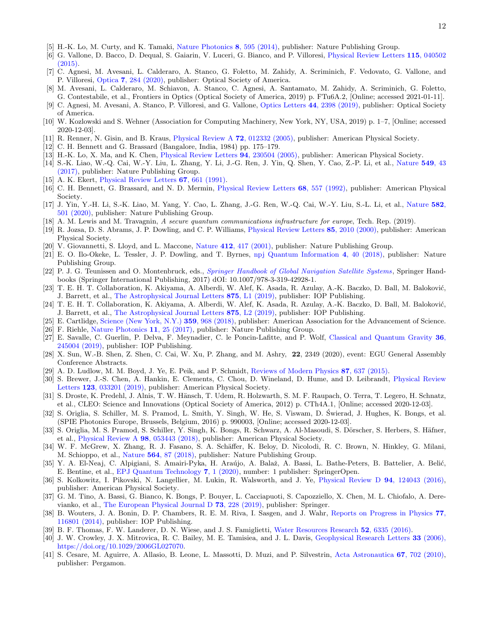- [5] H.-K. Lo, M. Curty, and K. Tamaki, [Nature Photonics](http://dx.doi.org/ 10.1038/nphoton.2014.149) 8, 595 (2014), publisher: Nature Publishing Group.
- <span id="page-11-0"></span>[6] G. Vallone, D. Bacco, D. Dequal, S. Gaiarin, V. Luceri, G. Bianco, and P. Villoresi, [Physical Review Letters](http://dx.doi.org/10.1103/PhysRevLett.115.040502) 115, 040502 [\(2015\).](http://dx.doi.org/10.1103/PhysRevLett.115.040502)
- <span id="page-11-1"></span>[7] C. Agnesi, M. Avesani, L. Calderaro, A. Stanco, G. Foletto, M. Zahidy, A. Scriminich, F. Vedovato, G. Vallone, and P. Villoresi, Optica 7[, 284 \(2020\),](http://dx.doi.org/10.1364/OPTICA.381013) publisher: Optical Society of America.
- <span id="page-11-2"></span>[8] M. Avesani, L. Calderaro, M. Schiavon, A. Stanco, C. Agnesi, A. Santamato, M. Zahidy, A. Scriminich, G. Foletto, G. Contestabile, et al., Frontiers in Optics (Optical Society of America, 2019) p. FTu6A.2, [Online; accessed 2021-01-11].
- <span id="page-11-3"></span>[9] C. Agnesi, M. Avesani, A. Stanco, P. Villoresi, and G. Vallone, [Optics Letters](http://dx.doi.org/ 10.1364/OL.44.002398) 44, 2398 (2019), publisher: Optical Society of America.
- <span id="page-11-4"></span>[10] W. Kozlowski and S. Wehner (Association for Computing Machinery, New York, NY, USA, 2019) p. 1–7, [Online; accessed 2020-12-03].
- <span id="page-11-5"></span>[11] R. Renner, N. Gisin, and B. Kraus, [Physical Review A](http://dx.doi.org/ 10.1103/PhysRevA.72.012332) 72, 012332 (2005), publisher: American Physical Society.
- <span id="page-11-6"></span>[12] C. H. Bennett and G. Brassard (Bangalore, India, 1984) pp. 175–179.
- <span id="page-11-7"></span>[13] H.-K. Lo, X. Ma, and K. Chen, [Physical Review Letters](http://dx.doi.org/ 10.1103/PhysRevLett.94.230504) 94, 230504 (2005), publisher: American Physical Society.
- <span id="page-11-8"></span>[14] S.-K. Liao, W.-Q. Cai, W.-Y. Liu, L. Zhang, Y. Li, J.-G. Ren, J. Yin, Q. Shen, Y. Cao, Z.-P. Li, et al., [Nature](http://dx.doi.org/10.1038/nature23655) 549, 43 [\(2017\),](http://dx.doi.org/10.1038/nature23655) publisher: Nature Publishing Group.
- <span id="page-11-9"></span>[15] A. K. Ekert, [Physical Review Letters](http://dx.doi.org/ 10.1103/PhysRevLett.67.661) 67, 661 (1991).
- <span id="page-11-10"></span>[16] C. H. Bennett, G. Brassard, and N. D. Mermin, [Physical Review Letters](http://dx.doi.org/ 10.1103/PhysRevLett.68.557) 68, 557 (1992), publisher: American Physical Society.
- <span id="page-11-11"></span>[17] J. Yin, Y.-H. Li, S.-K. Liao, M. Yang, Y. Cao, L. Zhang, J.-G. Ren, W.-Q. Cai, W.-Y. Liu, S.-L. Li, et al., [Nature](http://dx.doi.org/10.1038/s41586-020-2401-y) 582, [501 \(2020\),](http://dx.doi.org/10.1038/s41586-020-2401-y) publisher: Nature Publishing Group.
- <span id="page-11-12"></span>[18] A. M. Lewis and M. Travagnin, A secure quantum communications infrastructure for europe, Tech. Rep. (2019).
- <span id="page-11-13"></span>[19] R. Jozsa, D. S. Abrams, J. P. Dowling, and C. P. Williams, [Physical Review Letters](http://dx.doi.org/10.1103/PhysRevLett.85.2010) 85, 2010 (2000), publisher: American Physical Society.
- [20] V. Giovannetti, S. Lloyd, and L. Maccone, Nature 412[, 417 \(2001\),](http://dx.doi.org/ 10.1038/35086525) publisher: Nature Publishing Group.
- <span id="page-11-14"></span>[21] E. O. Ilo-Okeke, L. Tessler, J. P. Dowling, and T. Byrnes, [npj Quantum Information](http://dx.doi.org/10.1038/s41534-018-0090-2) 4, 40 (2018), publisher: Nature Publishing Group.
- <span id="page-11-15"></span>[22] P. J. G. Teunissen and O. Montenbruck, eds., [Springer Handbook of Global Navigation Satellite Systems](https://www.springer.com/de/book/9783319429267), Springer Handbooks (Springer International Publishing, 2017) dOI: 10.1007/978-3-319-42928-1.
- <span id="page-11-16"></span>[23] T. E. H. T. Collaboration, K. Akiyama, A. Alberdi, W. Alef, K. Asada, R. Azulay, A.-K. Baczko, D. Ball, M. Baloković, J. Barrett, et al., [The Astrophysical Journal Letters](http://dx.doi.org/10.3847/2041-8213/ab0ec7) 875, L1 (2019), publisher: IOP Publishing.
- <span id="page-11-17"></span>[24] T. E. H. T. Collaboration, K. Akiyama, A. Alberdi, W. Alef, K. Asada, R. Azulay, A.-K. Baczko, D. Ball, M. Baloković, J. Barrett, et al., [The Astrophysical Journal Letters](http://dx.doi.org/10.3847/2041-8213/ab0c96) 875, L2 (2019), publisher: IOP Publishing.
- <span id="page-11-18"></span>[25] E. Cartlidge, [Science \(New York, N.Y.\)](http://dx.doi.org/ 10.1126/science.359.6379.968) 359, 968 (2018), publisher: American Association for the Advancement of Science.
- <span id="page-11-19"></span>[26] F. Riehle, [Nature Photonics](http://dx.doi.org/ 10.1038/nphoton.2016.235) 11, 25 (2017), publisher: Nature Publishing Group.
- <span id="page-11-20"></span>[27] E. Savalle, C. Guerlin, P. Delva, F. Meynadier, C. le Poncin-Lafitte, and P. Wolf, [Classical and Quantum Gravity](http://dx.doi.org/10.1088/1361-6382/ab4f25) 36, [245004 \(2019\),](http://dx.doi.org/10.1088/1361-6382/ab4f25) publisher: IOP Publishing.
- <span id="page-11-21"></span>[28] X. Sun, W.-B. Shen, Z. Shen, C. Cai, W. Xu, P. Zhang, and M. Ashry, 22, 2349 (2020), event: EGU General Assembly Conference Abstracts.
- <span id="page-11-22"></span>[29] A. D. Ludlow, M. M. Boyd, J. Ye, E. Peik, and P. Schmidt, [Reviews of Modern Physics](http://dx.doi.org/10.1103/RevModPhys.87.637) 87, 637 (2015).
- <span id="page-11-23"></span>[30] S. Brewer, J.-S. Chen, A. Hankin, E. Clements, C. Chou, D. Wineland, D. Hume, and D. Leibrandt, [Physical Review](http://dx.doi.org/ 10.1103/PhysRevLett.123.033201) Letters 123[, 033201 \(2019\),](http://dx.doi.org/ 10.1103/PhysRevLett.123.033201) publisher: American Physical Society.
- <span id="page-11-24"></span>[31] S. Droste, K. Predehl, J. Alnis, T. W. Hänsch, T. Udem, R. Holzwarth, S. M. F. Raupach, O. Terra, T. Legero, H. Schnatz, et al., CLEO: Science and Innovations (Optical Society of America, 2012) p. CTh4A.1, [Online; accessed 2020-12-03].
- <span id="page-11-25"></span>[32] S. Origlia, S. Schiller, M. S. Pramod, L. Smith, Y. Singh, W. He, S. Viswam, D. Swierad, J. Hughes, K. Bongs, et al. ´ (SPIE Photonics Europe, Brussels, Belgium, 2016) p. 990003, [Online; accessed 2020-12-03].
- <span id="page-11-26"></span>[33] S. Origlia, M. S. Pramod, S. Schiller, Y. Singh, K. Bongs, R. Schwarz, A. Al-Masoudi, S. Dörscher, S. Herbers, S. Häfner, et al., [Physical Review A](http://dx.doi.org/ 10.1103/PhysRevA.98.053443) 98, 053443 (2018), publisher: American Physical Society.
- <span id="page-11-27"></span>[34] W. F. McGrew, X. Zhang, R. J. Fasano, S. A. Schäffer, K. Beloy, D. Nicolodi, R. C. Brown, N. Hinkley, G. Milani, M. Schioppo, et al., Nature 564[, 87 \(2018\),](http://dx.doi.org/10.1038/s41586-018-0738-2) publisher: Nature Publishing Group.
- <span id="page-11-28"></span>[35] Y. A. El-Neaj, C. Alpigiani, S. Amairi-Pyka, H. Araújo, A. Balaž, A. Bassi, L. Bathe-Peters, B. Battelier, A. Belić, E. Bentine, et al., [EPJ Quantum Technology](http://dx.doi.org/10.1140/epjqt/s40507-020-0080-0) 7, 1 (2020), number: 1 publisher: SpringerOpen.
- [36] S. Kolkowitz, I. Pikovski, N. Langellier, M. Lukin, R. Walsworth, and J. Ye, [Physical Review D](http://dx.doi.org/10.1103/PhysRevD.94.124043) 94, 124043 (2016), publisher: American Physical Society.
- <span id="page-11-29"></span>[37] G. M. Tino, A. Bassi, G. Bianco, K. Bongs, P. Bouyer, L. Cacciapuoti, S. Capozziello, X. Chen, M. L. Chiofalo, A. Derevianko, et al., [The European Physical Journal D](http://dx.doi.org/10.1140/epjd/e2019-100324-6) 73, 228 (2019), publisher: Springer.
- <span id="page-11-30"></span>[38] B. Wouters, J. A. Bonin, D. P. Chambers, R. E. M. Riva, I. Sasgen, and J. Wahr, [Reports on Progress in Physics](http://dx.doi.org/10.1088/0034-4885/77/11/116801) 77, [116801 \(2014\),](http://dx.doi.org/10.1088/0034-4885/77/11/116801) publisher: IOP Publishing.
- <span id="page-11-31"></span>[39] B. F. Thomas, F. W. Landerer, D. N. Wiese, and J. S. Famiglietti, [Water Resources Research](http://dx.doi.org/https://doi.org/10.1002/2016WR018617) 52, 6335 (2016).
- <span id="page-11-32"></span>[40] J. W. Crowley, J. X. Mitrovica, R. C. Bailey, M. E. Tamisiea, and J. L. Davis, [Geophysical Research Letters](http://dx.doi.org/ https://doi.org/10.1029/2006GL027070) 33 (2006), [https://doi.org/10.1029/2006GL027070.](http://dx.doi.org/ https://doi.org/10.1029/2006GL027070)
- <span id="page-11-33"></span>[41] S. Cesare, M. Aguirre, A. Allasio, B. Leone, L. Massotti, D. Muzi, and P. Silvestrin, [Acta Astronautica](http://dx.doi.org/10.1016/J.ACTAASTRO.2010.06.021) 67, 702 (2010), publisher: Pergamon.